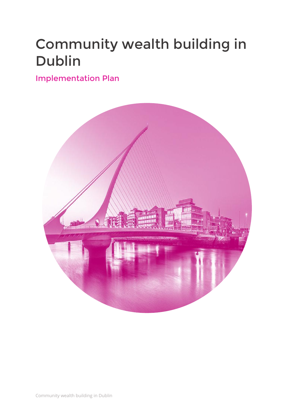## Community wealth building in Dublin

## Implementation Plan

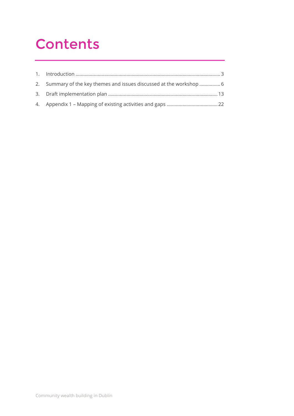## **Contents**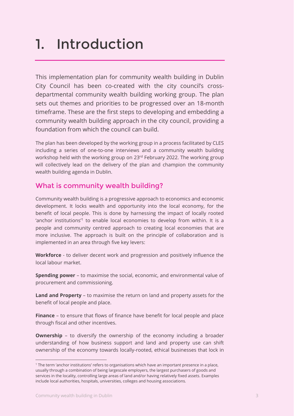## <span id="page-2-0"></span>1. Introduction

This implementation plan for community wealth building in Dublin City Council has been co-created with the city council's crossdepartmental community wealth building working group. The plan sets out themes and priorities to be progressed over an 18-month timeframe. These are the first steps to developing and embedding a community wealth building approach in the city council, providing a foundation from which the council can build.

The plan has been developed by the working group in a process facilitated by CLES including a series of one-to-one interviews and a community wealth building workshop held with the working group on 23rd February 2022. The working group will collectively lead on the delivery of the plan and champion the community wealth building agenda in Dublin.

## What is community wealth building?

Community wealth building is a progressive approach to economics and economic development. It locks wealth and opportunity into the local economy, for the benefit of local people. This is done by harnessing the impact of locally rooted 'anchor institutions<sup>'1</sup> to enable local economies to develop from within. It is a people and community centred approach to creating local economies that are more inclusive. The approach is built on the principle of collaboration and is implemented in an area through five key levers:

**Workforce** - to deliver decent work and progression and positively influence the local labour market.

**Spending power** – to maximise the social, economic, and environmental value of procurement and commissioning.

**Land and Property** – to maximise the return on land and property assets for the benefit of local people and place.

**Finance** – to ensure that flows of finance have benefit for local people and place through fiscal and other incentives.

**Ownership** – to diversify the ownership of the economy including a broader understanding of how business support and land and property use can shift ownership of the economy towards locally-rooted, ethical businesses that lock in

 $\overline{a}$ 

<sup>&</sup>lt;sup>1</sup> The term 'anchor institutions' refers to organisations which have an important presence in a place, usually through a combination of being largescale employers, the largest purchasers of goods and services in the locality, controlling large areas of land and/or having relatively fixed assets. Examples include local authorities, hospitals, universities, colleges and housing associations.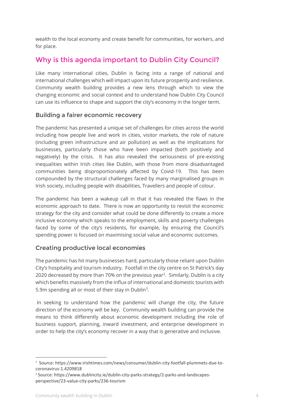wealth to the local economy and create benefit for communities, for workers, and for place.

## Why is this agenda important to Dublin City Council?

Like many international cities, Dublin is facing into a range of national and international challenges which will impact upon its future prosperity and resilience. Community wealth building provides a new lens through which to view the changing economic and social context and to understand how Dublin City Council can use its influence to shape and support the city's economy in the longer term.

### Building a fairer economic recovery

The pandemic has presented a unique set of challenges for cities across the world including how people live and work in cities, visitor markets, the role of nature (including green infrastructure and air pollution) as well as the implications for businesses, particularly those who have been impacted (both positively and negatively) by the crisis. It has also revealed the seriousness of pre-existing inequalities within Irish cities like Dublin, with those from more disadvantaged communities being disproportionately affected by Covid-19. This has been compounded by the structural challenges faced by many marginalised groups in Irish society, including people with disabilities, Travellers and people of colour.

The pandemic has been a wakeup call in that it has revealed the flaws in the economic approach to date. There is now an opportunity to revisit the economic strategy for the city and consider what could be done differently to create a more inclusive economy which speaks to the employment, skills and poverty challenges faced by some of the city's residents, for example, by ensuring the Council's spending power is focused on maximising social value and economic outcomes.

## Creating productive local economies

The pandemic has hit many businesses hard, particularly those reliant upon Dublin City's hospitality and tourism industry. Footfall in the city centre on St Patrick's day 2020 decreased by more than 70% on the previous year<sup>2</sup>. Similarly, Dublin is a city which benefits massively from the influx of international and domestic tourists with 5.9m spending all or most of their stay in Dublin<sup>3</sup>.

In seeking to understand how the pandemic will change the city, the future direction of the economy will be key. Community wealth building can provide the means to think differently about economic development including the role of business support, planning, inward investment, and enterprise development in order to help the city's economy recover in a way that is generative and inclusive.

-

<sup>2</sup> Source: https://www.irishtimes.com/news/consumer/dublin-city-footfall-plummets-due-tocoronavirus-1.4209818

<sup>3</sup> Source: https://www.dublincity.ie/dublin-city-parks-strategy/2-parks-and-landscapesperspective/23-value-city-parks/236-tourism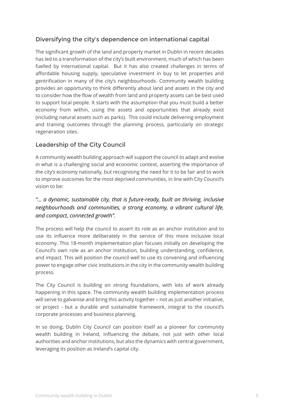## Diversifying the city's dependence on international capital

The significant growth of the land and property market in Dublin in recent decades has led to a transformation of the city's built environment, much of which has been fuelled by international capital. But it has also created challenges in terms of affordable housing supply, speculative investment in buy to let properties and gentrification in many of the city's neighbourhoods. Community wealth building provides an opportunity to think differently about land and assets in the city and to consider how the flow of wealth from land and property assets can be best used to support local people. It starts with the assumption that you must build a better economy from within, using the assets and opportunities that already exist (including natural assets such as parks). This could include delivering employment and training outcomes through the planning process, particularly on strategic regeneration sites.

## Leadership of the City Council

A community wealth building approach will support the council to adapt and evolve in what is a challenging social and economic context, asserting the importance of the city's economy nationally, but recognising the need for it to be fair and to work to improve outcomes for the most deprived communities, in line with City Council's vision to be:

## *"… a dynamic, sustainable city, that is future-ready, built on thriving, inclusive neighbourhoods and communities, a strong economy, a vibrant cultural life, and compact, connected growth".*

The process will help the council to assert its role as an anchor institution and to use its influence more deliberately in the service of this more inclusive local economy. This 18-month implementation plan focuses initially on developing the Council's own role as an anchor institution, building understanding, confidence, and impact. This will position the council well to use its convening and influencing power to engage other civic institutions in the city in the community wealth building process.

The City Council is building on strong foundations, with lots of work already happening in this space. The community wealth building implementation process will serve to galvanise and bring this activity together – not as just another initiative, or project - but a durable and sustainable framework, integral to the council's corporate processes and business planning.

In so doing, Dublin City Council can position itself as a pioneer for community wealth building in Ireland, influencing the debate, not just with other local authorities and anchor institutions, but also the dynamics with central government, leveraging its position as Ireland's capital city.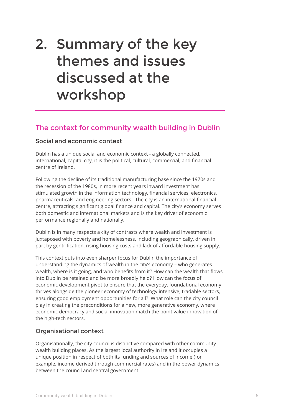## <span id="page-5-0"></span>2. Summary of the key themes and issues discussed at the workshop

## The context for community wealth building in Dublin

### Social and economic context

Dublin has a unique social and economic context - a globally connected, international, capital city, it is the political, cultural, commercial, and financial centre of Ireland.

Following the decline of its traditional manufacturing base since the 1970s and the recession of the 1980s, in more recent years inward investment has stimulated growth in the information technology, financial services, electronics, pharmaceuticals, and engineering sectors. The city is an international financial centre, attracting significant global finance and capital. The city's economy serves both domestic and international markets and is the key driver of economic performance regionally and nationally.

Dublin is in many respects a city of contrasts where wealth and investment is juxtaposed with poverty and homelessness, including geographically, driven in part by gentrification, rising housing costs and lack of affordable housing supply.

This context puts into even sharper focus for Dublin the importance of understanding the dynamics of wealth in the city's economy – who generates wealth, where is it going, and who benefits from it? How can the wealth that flows into Dublin be retained and be more broadly held? How can the focus of economic development pivot to ensure that the everyday, foundational economy thrives alongside the pioneer economy of technology intensive, tradable sectors, ensuring good employment opportunities for all? What role can the city council play in creating the preconditions for a new, more generative economy, where economic democracy and social innovation match the point value innovation of the high-tech sectors.

## Organisational context

Organisationally, the city council is distinctive compared with other community wealth building places. As the largest local authority in Ireland it occupies a unique position in respect of both its funding and sources of income (for example, income derived through commercial rates) and in the power dynamics between the council and central government.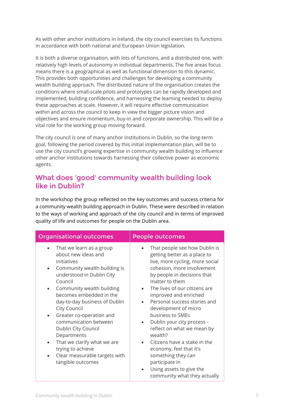As with other anchor institutions in Ireland, the city council exercises its functions in accordance with both national and European Union legislation.

It is both a diverse organisation, with lots of functions, and a distributed one, with relatively high levels of autonomy in individual departments. The five areas focus means there is a geographical as well as functional dimension to this dynamic. This provides both opportunities and challenges for developing a community wealth building approach. The distributed nature of the organisation creates the conditions where small-scale pilots and prototypes can be rapidly developed and implemented, building confidence, and harnessing the learning needed to deploy these approaches at scale. However, it will require effective communication within and across the council to keep in view the bigger picture vision and objectives and ensure momentum, buy-in and corporate ownership. This will be a vital role for the working group moving forward.

The city council is one of many anchor institutions in Dublin, so the long-term goal, following the period covered by this initial implementation plan, will be to use the city council's growing expertise in community wealth building to influence other anchor institutions towards harnessing their collective power as economic agents.

## What does 'good' community wealth building look like in Dublin?

In the workshop the group reflected on the key outcomes and success criteria for a community wealth building approach in Dublin. These were described in relation to the ways of working and approach of the city council and in terms of improved quality of life and outcomes for people on the Dublin area.

| <b>Organisational outcomes</b>                                                                                                                                                                                                                                                                                                                                                                                                                                                              | <b>People outcomes</b>                                                                                                                                                                                                                                                                                                                                                                                                                                                                                                      |  |
|---------------------------------------------------------------------------------------------------------------------------------------------------------------------------------------------------------------------------------------------------------------------------------------------------------------------------------------------------------------------------------------------------------------------------------------------------------------------------------------------|-----------------------------------------------------------------------------------------------------------------------------------------------------------------------------------------------------------------------------------------------------------------------------------------------------------------------------------------------------------------------------------------------------------------------------------------------------------------------------------------------------------------------------|--|
| That we learn as a group<br>about new ideas and<br>initiatives<br>Community wealth building is<br>understood in Dublin City<br>Council<br>Community wealth building<br>becomes embedded in the<br>day-to-day business of Dublin<br>City Council<br>Greater co-operation and<br>$\bullet$<br>communication between<br>Dublin City Council<br>Departments<br>That we clarify what we are<br>$\bullet$<br>trying to achieve<br>Clear measurable targets with<br>$\bullet$<br>tangible outcomes | That people see how Dublin is<br>getting better as a place to<br>live, more cycling, more social<br>cohesion, more involvement<br>by people in decisions that<br>matter to them<br>The lives of our citizens are<br>improved and enriched<br>Personal success stories and<br>development of micro<br>business to SMEs<br>Dublin your city process -<br>reflect on what we mean by<br>wealth?<br>Citizens have a stake in the<br>economy, feel that it's<br>something they can<br>participate in<br>Using assets to give the |  |
|                                                                                                                                                                                                                                                                                                                                                                                                                                                                                             | community what they actually                                                                                                                                                                                                                                                                                                                                                                                                                                                                                                |  |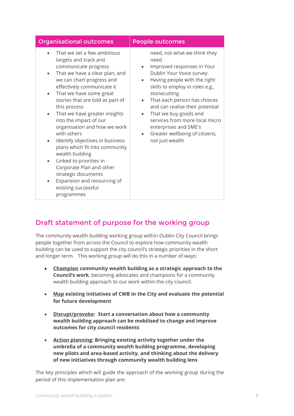| <b>Organisational outcomes</b>                                                                                                                                                                                                                                                                                                                                                                                                                                                                                                                                                                                                                                                | <b>People outcomes</b>                                                                                                                                                                                                                                                                                                                                                                        |
|-------------------------------------------------------------------------------------------------------------------------------------------------------------------------------------------------------------------------------------------------------------------------------------------------------------------------------------------------------------------------------------------------------------------------------------------------------------------------------------------------------------------------------------------------------------------------------------------------------------------------------------------------------------------------------|-----------------------------------------------------------------------------------------------------------------------------------------------------------------------------------------------------------------------------------------------------------------------------------------------------------------------------------------------------------------------------------------------|
| That we set a few ambitious<br>targets and track and<br>communicate progress<br>That we have a clear plan, and<br>$\bullet$<br>we can chart progress and<br>effectively communicate it<br>That we have some great<br>$\bullet$<br>stories that are told as part of<br>this process<br>That we have greater insights<br>$\bullet$<br>into the impact of our<br>organisation and how we work<br>with others<br>Identify objectives in business<br>$\bullet$<br>plans which fit into community<br>wealth building<br>Linked to priorities in<br>$\bullet$<br>Corporate Plan and other<br>strategic documents<br>Expansion and resourcing of<br>existing successful<br>programmes | need, not what we think they<br>need<br>Improved responses in Your<br>Dublin Your Voice survey<br>Having people with the right<br>skills to employ in roles e.g.,<br>stonecutting<br>That each person has choices<br>and can realise their potential<br>That we buy goods and<br>services from more local micro<br>enterprises and SME's<br>Greater wellbeing of citizens,<br>not just wealth |

## Draft statement of purpose for the working group

The community wealth building working group within Dublin City Council brings people together from across the Council to explore how community wealth building can be used to support the city council's strategic priorities in the short and longer term. This working group will do this in a number of ways:

- **Champion community wealth building as a strategic approach to the Council's work**, becoming advocates and champions for a community wealth building approach to our work within the city council.
- **Map existing initiatives of CWB in the City and evaluate the potential for future development**
- **Disrupt/provoke: Start a conversation about how a community wealth building approach can be mobilised to change and improve outcomes for city council residents**
- **Action planning: Bringing existing activity together under the umbrella of a community wealth building programme, developing new pilots and area-based activity, and thinking about the delivery of new initiatives through community wealth building lens**

The key principles which will guide the approach of the working group during the period of this implementation plan are: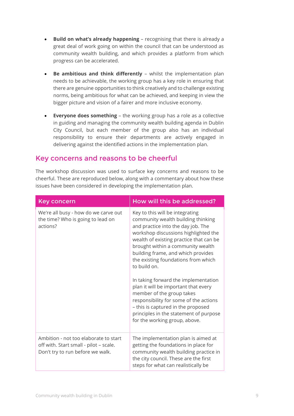- **Build on what's already happening** recognising that there is already a great deal of work going on within the council that can be understood as community wealth building, and which provides a platform from which progress can be accelerated.
- **Be ambitious and think differently** whilst the implementation plan needs to be achievable, the working group has a key role in ensuring that there are genuine opportunities to think creatively and to challenge existing norms, being ambitious for what can be achieved, and keeping in view the bigger picture and vision of a fairer and more inclusive economy.
- **Everyone does something** the working group has a role as a collective in guiding and managing the community wealth building agenda in Dublin City Council, but each member of the group also has an individual responsibility to ensure their departments are actively engaged in delivering against the identified actions in the implementation plan.

## Key concerns and reasons to be cheerful

The workshop discussion was used to surface key concerns and reasons to be cheerful. These are reproduced below, along with a commentary about how these issues have been considered in developing the implementation plan.

| <b>Key concern</b>                                                                                                  | How will this be addressed?                                                                                                                                                                                                                                                                                                                                                                                                                                                                                                                                                                              |
|---------------------------------------------------------------------------------------------------------------------|----------------------------------------------------------------------------------------------------------------------------------------------------------------------------------------------------------------------------------------------------------------------------------------------------------------------------------------------------------------------------------------------------------------------------------------------------------------------------------------------------------------------------------------------------------------------------------------------------------|
| We're all busy - how do we carve out<br>the time? Who is going to lead on<br>actions?                               | Key to this will be integrating<br>community wealth building thinking<br>and practice into the day job. The<br>workshop discussions highlighted the<br>wealth of existing practice that can be<br>brought within a community wealth<br>building frame, and which provides<br>the existing foundations from which<br>to build on.<br>In taking forward the implementation<br>plan it will be important that every<br>member of the group takes<br>responsibility for some of the actions<br>- this is captured in the proposed<br>principles in the statement of purpose<br>for the working group, above. |
| Ambition - not too elaborate to start<br>off with. Start small - pilot - scale.<br>Don't try to run before we walk. | The implementation plan is aimed at<br>getting the foundations in place for<br>community wealth building practice in<br>the city council. These are the first<br>steps for what can realistically be                                                                                                                                                                                                                                                                                                                                                                                                     |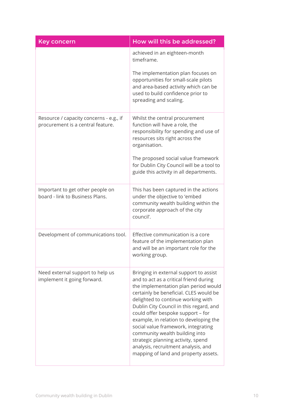| <b>Key concern</b>                                                           | How will this be addressed?                                                                                                                                                                                                                                                                                                                                                                                                                                                                                                      |
|------------------------------------------------------------------------------|----------------------------------------------------------------------------------------------------------------------------------------------------------------------------------------------------------------------------------------------------------------------------------------------------------------------------------------------------------------------------------------------------------------------------------------------------------------------------------------------------------------------------------|
|                                                                              | achieved in an eighteen-month<br>timeframe.                                                                                                                                                                                                                                                                                                                                                                                                                                                                                      |
|                                                                              | The implementation plan focuses on<br>opportunities for small-scale pilots<br>and area-based activity which can be<br>used to build confidence prior to<br>spreading and scaling.                                                                                                                                                                                                                                                                                                                                                |
| Resource / capacity concerns - e.g., if<br>procurement is a central feature. | Whilst the central procurement<br>function will have a role, the<br>responsibility for spending and use of<br>resources sits right across the<br>organisation.                                                                                                                                                                                                                                                                                                                                                                   |
|                                                                              | The proposed social value framework<br>for Dublin City Council will be a tool to<br>guide this activity in all departments.                                                                                                                                                                                                                                                                                                                                                                                                      |
| Important to get other people on<br>board - link to Business Plans.          | This has been captured in the actions<br>under the objective to 'embed<br>community wealth building within the<br>corporate approach of the city<br>council'.                                                                                                                                                                                                                                                                                                                                                                    |
| Development of communications tool.                                          | Effective communication is a core<br>feature of the implementation plan<br>and will be an important role for the<br>working group.                                                                                                                                                                                                                                                                                                                                                                                               |
| Need external support to help us<br>implement it going forward.              | Bringing in external support to assist<br>and to act as a critical friend during<br>the implementation plan period would<br>certainly be beneficial. CLES would be<br>delighted to continue working with<br>Dublin City Council in this regard, and<br>could offer bespoke support - for<br>example, in relation to developing the<br>social value framework, integrating<br>community wealth building into<br>strategic planning activity, spend<br>analysis, recruitment analysis, and<br>mapping of land and property assets. |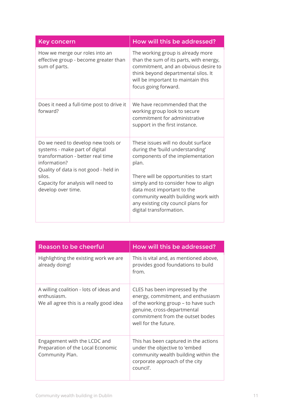| Key concern                                                                                                                                                                                                                              | How will this be addressed?                                                                                                                                                                                                                                                                                                               |
|------------------------------------------------------------------------------------------------------------------------------------------------------------------------------------------------------------------------------------------|-------------------------------------------------------------------------------------------------------------------------------------------------------------------------------------------------------------------------------------------------------------------------------------------------------------------------------------------|
| How we merge our roles into an<br>effective group - become greater than<br>sum of parts.                                                                                                                                                 | The working group is already more<br>than the sum of its parts, with energy,<br>commitment, and an obvious desire to<br>think beyond departmental silos. It<br>will be important to maintain this<br>focus going forward.                                                                                                                 |
| Does it need a full-time post to drive it<br>forward?                                                                                                                                                                                    | We have recommended that the<br>working group look to secure<br>commitment for administrative<br>support in the first instance.                                                                                                                                                                                                           |
| Do we need to develop new tools or<br>systems - make part of digital<br>transformation - better real time<br>information?<br>Quality of data is not good - held in<br>silos.<br>Capacity for analysis will need to<br>develop over time. | These issues will no doubt surface<br>during the 'build understanding'<br>components of the implementation<br>plan.<br>There will be opportunities to start<br>simply and to consider how to align<br>data most important to the<br>community wealth building work with<br>any existing city council plans for<br>digital transformation. |

| <b>Reason to be cheerful</b>                                                                      | How will this be addressed?                                                                                                                                                                            |
|---------------------------------------------------------------------------------------------------|--------------------------------------------------------------------------------------------------------------------------------------------------------------------------------------------------------|
| Highlighting the existing work we are<br>already doing!                                           | This is vital and, as mentioned above,<br>provides good foundations to build<br>from.                                                                                                                  |
| A willing coalition - lots of ideas and<br>enthusiasm.<br>We all agree this is a really good idea | CLES has been impressed by the<br>energy, commitment, and enthusiasm<br>of the working group - to have such<br>genuine, cross-departmental<br>commitment from the outset bodes<br>well for the future. |
| Engagement with the LCDC and<br>Preparation of the Local Economic<br>Community Plan.              | This has been captured in the actions<br>under the objective to 'embed<br>community wealth building within the<br>corporate approach of the city<br>council'.                                          |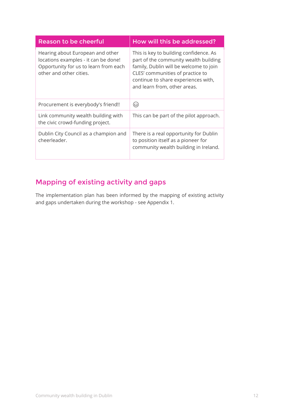| Reason to be cheerful                                                                                                                        | How will this be addressed?                                                                                                                                                                                                          |
|----------------------------------------------------------------------------------------------------------------------------------------------|--------------------------------------------------------------------------------------------------------------------------------------------------------------------------------------------------------------------------------------|
| Hearing about European and other<br>locations examples - it can be done!<br>Opportunity for us to learn from each<br>other and other cities. | This is key to building confidence. As<br>part of the community wealth building<br>family, Dublin will be welcome to join<br>CLES' communities of practice to<br>continue to share experiences with,<br>and learn from, other areas. |
| Procurement is everybody's friend!!                                                                                                          | (ಟಿ)                                                                                                                                                                                                                                 |
| Link community wealth building with<br>the civic crowd-funding project.                                                                      | This can be part of the pilot approach.                                                                                                                                                                                              |
| Dublin City Council as a champion and<br>cheerleader.                                                                                        | There is a real opportunity for Dublin<br>to position itself as a pioneer for<br>community wealth building in Ireland.                                                                                                               |

## Mapping of existing activity and gaps

The implementation plan has been informed by the mapping of existing activity and gaps undertaken during the workshop - see Appendix 1.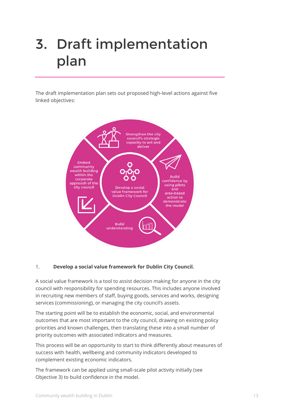# <span id="page-12-0"></span>3. Draft implementation plan

The draft implementation plan sets out proposed high-level actions against five linked objectives:



#### 1. **Develop a social value framework for Dublin City Council.**

A social value framework is a tool to assist decision making for anyone in the city council with responsibility for spending resources. This includes anyone involved in recruiting new members of staff, buying goods, services and works, designing services (commissioning), or managing the city council's assets.

The starting point will be to establish the economic, social, and environmental outcomes that are most important to the city council, drawing on existing policy priorities and known challenges, then translating these into a small number of priority outcomes with associated indicators and measures.

This process will be an opportunity to start to think differently about measures of success with health, wellbeing and community indicators developed to complement existing economic indicators.

The framework can be applied using small-scale pilot activity initially (see Objective 3) to build confidence in the model.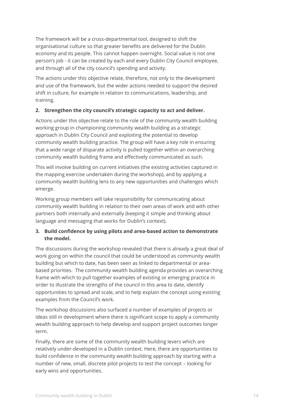The framework will be a cross-departmental tool, designed to shift the organisational culture so that greater benefits are delivered for the Dublin economy and its people. This cannot happen overnight. Social value is not one person's job - it can be created by each and every Dublin City Council employee, and through all of the city council's spending and activity.

The actions under this objective relate, therefore, not only to the development and use of the framework, but the wider actions needed to support the desired shift in culture, for example in relation to communications, leadership, and training.

#### **2. Strengthen the city council's strategic capacity to act and deliver.**

Actions under this objective relate to the role of the community wealth building working group in championing community wealth building as a strategic approach in Dublin City Council and exploiting the potential to develop community wealth building practice. The group will have a key role in ensuring that a wide range of disparate activity is pulled together within an overarching community wealth building frame and effectively communicated as such.

This will involve building on current initiatives (the existing activities captured in the mapping exercise undertaken during the workshop), and by applying a community wealth building lens to any new opportunities and challenges which emerge.

Working group members will take responsibility for communicating about community wealth building in relation to their own areas of work and with other partners both internally and externally (keeping it simple and thinking about language and messaging that works for Dublin's context).

#### **3. Build confidence by using pilots and area-based action to demonstrate the model.**

The discussions during the workshop revealed that there is already a great deal of work going on within the council that could be understood as community wealth building but which to date, has been seen as linked to departmental or areabased priorities. The community wealth building agenda provides an overarching frame with which to pull together examples of existing or emerging practice in order to illustrate the strengths of the council in this area to date, identify opportunities to spread and scale, and to help explain the concept using existing examples from the Council's work.

The workshop discussions also surfaced a number of examples of projects or ideas still in development where there is significant scope to apply a community wealth building approach to help develop and support project outcomes longer term.

Finally, there are some of the community wealth building levers which are relatively under-developed in a Dublin context. Here, there are opportunities to build confidence in the community wealth building approach by starting with a number of new, small, discrete pilot projects to test the concept – looking for early wins and opportunities.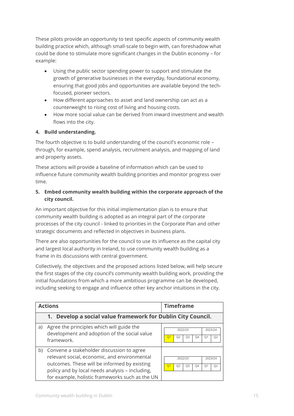These pilots provide an opportunity to test specific aspects of community wealth building practice which, although small-scale to begin with, can foreshadow what could be done to stimulate more significant changes in the Dublin economy – for example:

- Using the public sector spending power to support and stimulate the growth of generative businesses in the everyday, foundational economy, ensuring that good jobs and opportunities are available beyond the techfocused, pioneer sectors.
- How different approaches to asset and land ownership can act as a counterweight to rising cost of living and housing costs.
- How more social value can be derived from inward investment and wealth flows into the city.

#### **4. Build understanding.**

The fourth objective is to build understanding of the council's economic role – through, for example, spend analysis, recruitment analysis, and mapping of land and property assets.

These actions will provide a baseline of information which can be used to influence future community wealth building priorities and monitor progress over time.

#### **5. Embed community wealth building within the corporate approach of the city council.**

An important objective for this initial implementation plan is to ensure that community wealth building is adopted as an integral part of the corporate processes of the city council - linked to priorities in the Corporate Plan and other strategic documents and reflected in objectives in business plans.

There are also opportunities for the council to use its influence as the capital city and largest local authority in Ireland, to use community wealth building as a frame in its discussions with central government.

Collectively, the objectives and the proposed actions listed below, will help secure the first stages of the city council's community wealth building work, providing the initial foundations from which a more ambitious programme can be developed, including seeking to engage and influence other key anchor intuitions in the city.

|    | <b>Actions</b>                                                                                                                                                                                                                                  | <b>Timeframe</b>                                                                                                   |
|----|-------------------------------------------------------------------------------------------------------------------------------------------------------------------------------------------------------------------------------------------------|--------------------------------------------------------------------------------------------------------------------|
|    | 1. Develop a social value framework for Dublin City Council.                                                                                                                                                                                    |                                                                                                                    |
| a) | Agree the principles which will guide the<br>development and adoption of the social value<br>framework.                                                                                                                                         | 2022/23<br>2023/24<br>Q <sub>3</sub><br>Q4<br>Q1<br>Q <sub>2</sub><br>Q <sub>2</sub><br>O <sub>1</sub>             |
| b) | Convene a stakeholder discussion to agree<br>relevant social, economic, and environmental<br>outcomes. These will be informed by existing<br>policy and by local needs analysis - including,<br>for example, holistic frameworks such as the UN | 2023/24<br>2022/23<br>Q <sub>3</sub><br>Q <sub>2</sub><br>Q <sub>2</sub><br>Q4<br>Q <sub>1</sub><br>O <sub>1</sub> |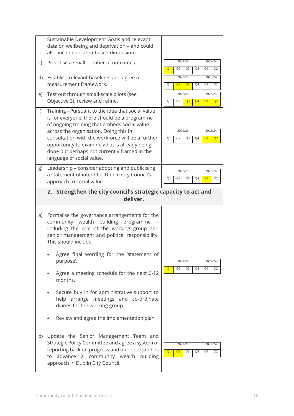|    | Sustainable Development Goals and relevant<br>data on wellbeing and deprivation - and could<br>also include an area-based dimension.                                                                                                                                                                                                                                          |                                                                                                        |
|----|-------------------------------------------------------------------------------------------------------------------------------------------------------------------------------------------------------------------------------------------------------------------------------------------------------------------------------------------------------------------------------|--------------------------------------------------------------------------------------------------------|
| C) | Prioritise a small number of outcomes.                                                                                                                                                                                                                                                                                                                                        | 2022/23<br>2023/24<br>Q4<br>Q <sub>1</sub><br>Q <sub>2</sub><br>Q3<br>Q1<br>Q <sub>2</sub>             |
|    | d) Establish relevant baselines and agree a<br>measurement framework.                                                                                                                                                                                                                                                                                                         | 2022/23<br>2023/24<br>Q2<br>Q <sub>3</sub><br>Q4<br>Q1<br>Q1<br>Q <sub>2</sub>                         |
| e) | Test out through small-scale pilots (see<br>Objective 3), review and refine.                                                                                                                                                                                                                                                                                                  | 2022/23<br>2023/24<br>Q <sub>2</sub><br>Q <sub>3</sub><br>Q <sub>4</sub><br>Q1<br>Q1<br>Q <sub>2</sub> |
| f) | Training - Pursuant to the idea that social value<br>is for everyone, there should be a programme<br>of ongoing training that embeds social value<br>across the organisation. Doing this in<br>consultation with the workforce will be a further<br>opportunity to examine what is already being<br>done but perhaps not currently framed in the<br>language of social value. | 2022/23<br>2023/24<br>Q1<br>Q <sub>2</sub><br>Q4<br>Q3<br>Q1<br>Q <sub>2</sub>                         |
| g) | Leadership - consider adopting and publicising<br>a statement of intent for Dublin City Council's<br>approach to social value                                                                                                                                                                                                                                                 | 2022/23<br>2023/24<br>Q <sub>2</sub><br>Q4<br>Q1<br>Q1<br>Q3<br>Q <sub>2</sub>                         |
|    | 2. Strengthen the city council's strategic capacity to act and<br>deliver.                                                                                                                                                                                                                                                                                                    |                                                                                                        |
|    |                                                                                                                                                                                                                                                                                                                                                                               |                                                                                                        |
| a) | Formalise the governance arrangements for the<br>building programme<br>community wealth<br>including the role of the working group and<br>senior management and political responsibility.<br>This should include:                                                                                                                                                             |                                                                                                        |
|    | Agree final wording for the 'statement of<br>purpose'.                                                                                                                                                                                                                                                                                                                        | 2022/23<br>2023/24                                                                                     |
|    | Agree a meeting schedule for the next 6-12<br>months.                                                                                                                                                                                                                                                                                                                         | Q <sub>2</sub><br>Q4<br>Q <sub>1</sub><br>Q3<br>Q1<br>Q <sub>2</sub>                                   |
|    | Secure buy in for administrative support to<br>help arrange meetings and co-ordinate<br>diaries for the working group.                                                                                                                                                                                                                                                        |                                                                                                        |
|    | Review and agree the implementation plan                                                                                                                                                                                                                                                                                                                                      |                                                                                                        |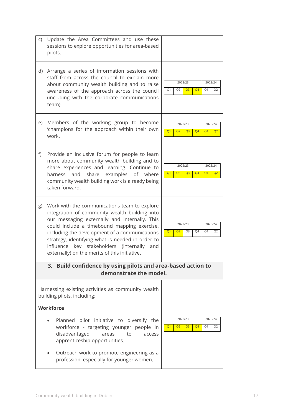| C)               | Update the Area Committees and use these<br>sessions to explore opportunities for area-based<br>pilots.                                                                                                                                                                                                                                                                                                 |                                                                                                                    |
|------------------|---------------------------------------------------------------------------------------------------------------------------------------------------------------------------------------------------------------------------------------------------------------------------------------------------------------------------------------------------------------------------------------------------------|--------------------------------------------------------------------------------------------------------------------|
| d)               | Arrange a series of information sessions with<br>staff from across the council to explain more<br>about community wealth building and to raise<br>awareness of the approach across the council<br>(including with the corporate communications<br>team).                                                                                                                                                | 2022/23<br>2023/24<br>Q <sub>4</sub><br>Q1<br>Q <sub>2</sub><br>Q <sub>3</sub><br>Q1<br>Q <sub>2</sub>             |
| e)               | Members of the working group to become<br>'champions for the approach within their own<br>work.                                                                                                                                                                                                                                                                                                         | 2022/23<br>2023/24<br>Q <sub>1</sub><br>Q <sub>2</sub><br>Q <sub>4</sub><br>Q <sub>3</sub><br>Q1<br>Q <sub>2</sub> |
| f)               | Provide an inclusive forum for people to learn<br>more about community wealth building and to<br>share experiences and learning. Continue to<br>examples<br>and<br>share<br>of where<br>harness<br>community wealth building work is already being<br>taken forward.                                                                                                                                    | 2022/23<br>2023/24<br>Q <sub>2</sub><br>Q <sub>4</sub><br>Q <sub>1</sub><br>Q <sub>3</sub><br>Q1<br>Q <sub>2</sub> |
| g)               | Work with the communications team to explore<br>integration of community wealth building into<br>our messaging externally and internally. This<br>could include a timebound mapping exercise,<br>including the development of a communications<br>strategy, identifying what is needed in order to<br>key stakeholders (internally<br>influence<br>and<br>externally) on the merits of this initiative. | 2022/23<br>2023/24<br>Q <sub>2</sub><br>Q3<br>Q4<br>Q1<br>Q <sub>1</sub><br>Q <sub>2</sub>                         |
|                  | Build confidence by using pilots and area-based action to<br>3.<br>demonstrate the model.                                                                                                                                                                                                                                                                                                               |                                                                                                                    |
|                  | Harnessing existing activities as community wealth<br>building pilots, including:                                                                                                                                                                                                                                                                                                                       |                                                                                                                    |
| <b>Workforce</b> |                                                                                                                                                                                                                                                                                                                                                                                                         |                                                                                                                    |
|                  | Planned pilot initiative to diversify the<br>workforce - targeting younger people in<br>disadvantaged<br>to<br>areas<br>access<br>apprenticeship opportunities.                                                                                                                                                                                                                                         | 2022/23<br>2023/24<br>Q <sub>4</sub><br>Q <sub>1</sub><br>Q2<br>Q <sub>3</sub><br>Q1<br>Q <sub>2</sub>             |
|                  | Outreach work to promote engineering as a<br>$\bullet$<br>profession, especially for younger women.                                                                                                                                                                                                                                                                                                     |                                                                                                                    |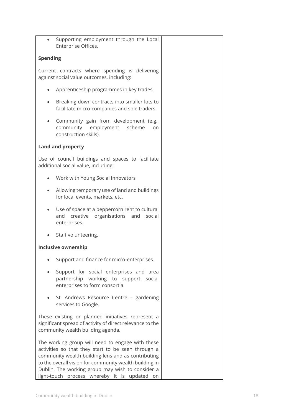|                 | Supporting employment through the Local<br>Enterprise Offices.                                                                                                                                                                                                                                                             |  |
|-----------------|----------------------------------------------------------------------------------------------------------------------------------------------------------------------------------------------------------------------------------------------------------------------------------------------------------------------------|--|
| <b>Spending</b> |                                                                                                                                                                                                                                                                                                                            |  |
|                 | Current contracts where spending is delivering<br>against social value outcomes, including:                                                                                                                                                                                                                                |  |
|                 | Apprenticeship programmes in key trades.                                                                                                                                                                                                                                                                                   |  |
|                 | Breaking down contracts into smaller lots to<br>facilitate micro-companies and sole traders.                                                                                                                                                                                                                               |  |
|                 | Community gain from development (e.g.,<br>community employment<br>scheme<br>on<br>construction skills).                                                                                                                                                                                                                    |  |
|                 | <b>Land and property</b>                                                                                                                                                                                                                                                                                                   |  |
|                 | Use of council buildings and spaces to facilitate<br>additional social value, including:                                                                                                                                                                                                                                   |  |
|                 | Work with Young Social Innovators                                                                                                                                                                                                                                                                                          |  |
|                 | Allowing temporary use of land and buildings<br>for local events, markets, etc.                                                                                                                                                                                                                                            |  |
|                 | Use of space at a peppercorn rent to cultural<br>creative organisations and<br>and<br>social<br>enterprises.                                                                                                                                                                                                               |  |
|                 | Staff volunteering.                                                                                                                                                                                                                                                                                                        |  |
|                 | <b>Inclusive ownership</b>                                                                                                                                                                                                                                                                                                 |  |
|                 | Support and finance for micro-enterprises.                                                                                                                                                                                                                                                                                 |  |
|                 | Support for social enterprises and area<br>partnership working to support social<br>enterprises to form consortia                                                                                                                                                                                                          |  |
|                 | St. Andrews Resource Centre - gardening<br>services to Google.                                                                                                                                                                                                                                                             |  |
|                 | These existing or planned initiatives represent a<br>significant spread of activity of direct relevance to the<br>community wealth building agenda.                                                                                                                                                                        |  |
|                 | The working group will need to engage with these<br>activities so that they start to be seen through a<br>community wealth building lens and as contributing<br>to the overall vision for community wealth building in<br>Dublin. The working group may wish to consider a<br>light-touch process whereby it is updated on |  |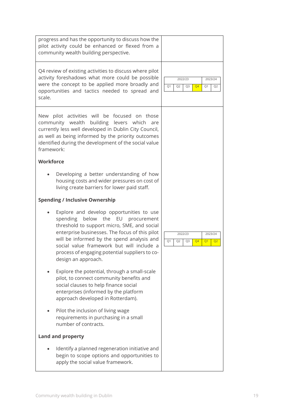| progress and has the opportunity to discuss how the<br>pilot activity could be enhanced or flexed from a<br>community wealth building perspective.                                                                                                                                                                                                       |                                                                                                        |  |  |
|----------------------------------------------------------------------------------------------------------------------------------------------------------------------------------------------------------------------------------------------------------------------------------------------------------------------------------------------------------|--------------------------------------------------------------------------------------------------------|--|--|
| Q4 review of existing activities to discuss where pilot<br>activity foreshadows what more could be possible<br>were the concept to be applied more broadly and<br>opportunities and tactics needed to spread and<br>scale.                                                                                                                               | 2022/23<br>2023/24<br>Q1<br>Q <sub>2</sub><br>Q <sub>3</sub><br>Q <sub>4</sub><br>Q1<br>Q <sub>2</sub> |  |  |
| New pilot activities will be focused on those<br>community wealth building<br>levers which<br>are<br>currently less well developed in Dublin City Council,<br>as well as being informed by the priority outcomes<br>identified during the development of the social value<br>framework:                                                                  |                                                                                                        |  |  |
| <b>Workforce</b>                                                                                                                                                                                                                                                                                                                                         |                                                                                                        |  |  |
| Developing a better understanding of how<br>housing costs and wider pressures on cost of<br>living create barriers for lower paid staff.                                                                                                                                                                                                                 |                                                                                                        |  |  |
| <b>Spending / Inclusive Ownership</b>                                                                                                                                                                                                                                                                                                                    |                                                                                                        |  |  |
| Explore and develop opportunities to use<br>spending<br>below the EU<br>procurement<br>threshold to support micro, SME, and social<br>enterprise businesses. The focus of this pilot<br>will be informed by the spend analysis and<br>social value framework but will include a<br>process of engaging potential suppliers to co-<br>design an approach. | 2022/23<br>2023/24<br>Q1<br>Q <sub>2</sub><br>Q3<br>Q <sub>4</sub><br>Q1<br>Q <sub>2</sub>             |  |  |
| Explore the potential, through a small-scale<br>pilot, to connect community benefits and<br>social clauses to help finance social<br>enterprises (informed by the platform<br>approach developed in Rotterdam).                                                                                                                                          |                                                                                                        |  |  |
| Pilot the inclusion of living wage<br>requirements in purchasing in a small<br>number of contracts.                                                                                                                                                                                                                                                      |                                                                                                        |  |  |
| <b>Land and property</b>                                                                                                                                                                                                                                                                                                                                 |                                                                                                        |  |  |
| Identify a planned regeneration initiative and<br>begin to scope options and opportunities to<br>apply the social value framework.                                                                                                                                                                                                                       |                                                                                                        |  |  |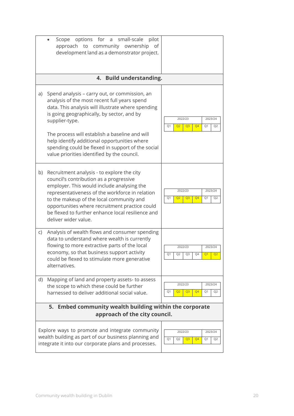|                                                                                          | small-scale<br>options<br>for<br>pilot<br>Scope<br>a<br>approach to community<br>ownership<br>of<br>development land as a demonstrator project.                                                                                                                                                                                                                                                                           |                                                                                                        |  |  |  |
|------------------------------------------------------------------------------------------|---------------------------------------------------------------------------------------------------------------------------------------------------------------------------------------------------------------------------------------------------------------------------------------------------------------------------------------------------------------------------------------------------------------------------|--------------------------------------------------------------------------------------------------------|--|--|--|
| 4. Build understanding.                                                                  |                                                                                                                                                                                                                                                                                                                                                                                                                           |                                                                                                        |  |  |  |
| a)                                                                                       | Spend analysis - carry out, or commission, an<br>analysis of the most recent full years spend<br>data. This analysis will illustrate where spending<br>is going geographically, by sector, and by<br>supplier-type.<br>The process will establish a baseline and will<br>help identify additional opportunities where<br>spending could be flexed in support of the social<br>value priorities identified by the council. | 2022/23<br>2023/24<br>Q <sub>2</sub><br>Q <sub>3</sub><br>Q <sub>4</sub><br>Q1<br>Q1<br>Q <sub>2</sub> |  |  |  |
| b)                                                                                       | Recruitment analysis - to explore the city<br>council's contribution as a progressive<br>employer. This would include analysing the<br>representativeness of the workforce in relation<br>to the makeup of the local community and<br>opportunities where recruitment practice could<br>be flexed to further enhance local resilience and<br>deliver wider value.                                                         | 2022/23<br>2023/24<br>Q <sub>4</sub><br>Q1<br>Q <sub>2</sub><br>Q <sub>3</sub><br>Q1<br>Q <sub>2</sub> |  |  |  |
| C)                                                                                       | Analysis of wealth flows and consumer spending<br>data to understand where wealth is currently<br>flowing to more extractive parts of the local<br>economy, so that business support activity<br>could be flexed to stimulate more generative<br>alternatives.                                                                                                                                                            | 2022/23<br>2023/24<br>Q4<br>Q1<br>Q <sub>2</sub><br>Q3<br>Q <sub>2</sub><br>Q <sub>1</sub>             |  |  |  |
| d)                                                                                       | Mapping of land and property assets- to assess<br>the scope to which these could be further<br>harnessed to deliver additional social value.                                                                                                                                                                                                                                                                              | 2022/23<br>2023/24<br>Q <sub>4</sub><br>Q <sub>2</sub><br>Q <sub>3</sub><br>Q1<br>Q1<br>Q <sub>2</sub> |  |  |  |
| 5. Embed community wealth building within the corporate<br>approach of the city council. |                                                                                                                                                                                                                                                                                                                                                                                                                           |                                                                                                        |  |  |  |
|                                                                                          | Explore ways to promote and integrate community<br>wealth building as part of our business planning and<br>integrate it into our corporate plans and processes.                                                                                                                                                                                                                                                           | 2022/23<br>2023/24<br>Q1<br>Q <sub>4</sub><br>Q <sub>2</sub><br>Q <sub>3</sub><br>Q1<br>Q <sub>2</sub> |  |  |  |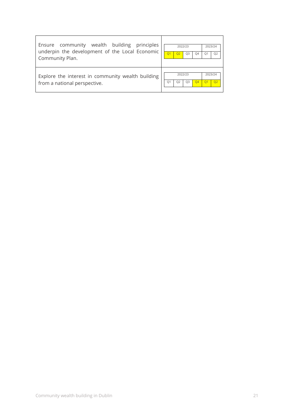| Ensure community wealth building principles                                       | 2022/23                                                            | 2023/24                   |
|-----------------------------------------------------------------------------------|--------------------------------------------------------------------|---------------------------|
| underpin the development of the Local Economic                                    | Q3                                                                 | Q <sub>2</sub>            |
| Community Plan.                                                                   | O4                                                                 | O <sub>1</sub>            |
| Explore the interest in community wealth building<br>from a national perspective. | 2022/23<br>O <sub>4</sub><br>Q <sub>3</sub><br>O <sub>2</sub><br>O | 2023/24<br>Q <sub>2</sub> |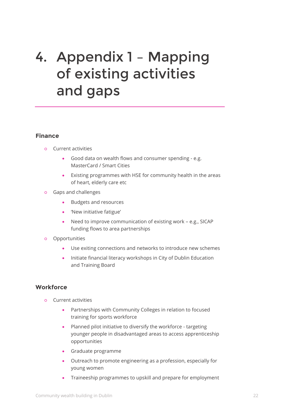## <span id="page-21-0"></span>4. Appendix 1 – Mapping of existing activities and gaps

#### **Finance**

- **○** Current activities
	- Good data on wealth flows and consumer spending e.g. MasterCard / Smart Cities
	- Existing programmes with HSE for community health in the areas of heart, elderly care etc
- **○** Gaps and challenges
	- **Budgets and resources**
	- 'New initiative fatigue'
	- Need to improve communication of existing work e.g., SICAP funding flows to area partnerships
- **○** Opportunities
	- Use exiting connections and networks to introduce new schemes
	- Initiate financial literacy workshops in City of Dublin Education and Training Board

#### **Workforce**

- **○** Current activities
	- Partnerships with Community Colleges in relation to focused training for sports workforce
	- Planned pilot initiative to diversify the workforce targeting younger people in disadvantaged areas to access apprenticeship opportunities
	- Graduate programme
	- Outreach to promote engineering as a profession, especially for young women
	- Traineeship programmes to upskill and prepare for employment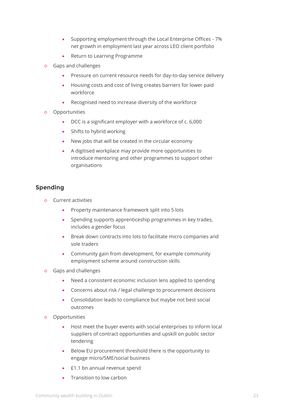- Supporting employment through the Local Enterprise Offices 7% net growth in employment last year across LEO client portfolio
- Return to Learning Programme
- **○** Gaps and challenges
	- Pressure on current resource needs for day-to-day service delivery
	- Housing costs and cost of living creates barriers for lower paid workforce
	- Recognised need to increase diversity of the workforce
- **○** Opportunities
	- DCC is a significant employer with a workforce of c. 6,000
	- Shifts to hybrid working
	- New jobs that will be created in the circular economy
	- A digitised workplace may provide more opportunities to introduce mentoring and other programmes to support other organisations

### **Spending**

- **○** Current activities
	- Property maintenance framework split into 5 lots
	- Spending supports apprenticeship programmes in key trades, includes a gender focus
	- Break down contracts into lots to facilitate micro companies and sole traders
	- Community gain from development, for example community employment scheme around construction skills
- **○** Gaps and challenges
	- Need a consistent economic inclusion lens applied to spending
	- Concerns about risk / legal challenge to procurement decisions
	- Consolidation leads to compliance but maybe not best social outcomes
- **○** Opportunities
	- Host meet the buyer events with social enterprises to inform local suppliers of contract opportunities and upskill on public sector tendering
	- Below EU procurement threshold there is the opportunity to engage micro/SME/social business
	- **E1.1 bn annual revenue spend**
	- Transition to low carbon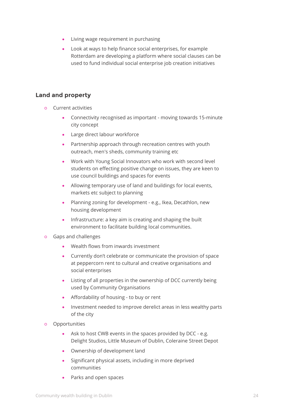- Living wage requirement in purchasing
- Look at ways to help finance social enterprises, for example Rotterdam are developing a platform where social clauses can be used to fund individual social enterprise job creation initiatives

### **Land and property**

- **○** Current activities
	- Connectivity recognised as important moving towards 15-minute city concept
	- Large direct labour workforce
	- Partnership approach through recreation centres with youth outreach, men's sheds, community training etc
	- Work with Young Social Innovators who work with second level students on effecting positive change on issues, they are keen to use council buildings and spaces for events
	- Allowing temporary use of land and buildings for local events, markets etc subject to planning
	- Planning zoning for development e.g., Ikea, Decathlon, new housing development
	- Infrastructure: a key aim is creating and shaping the built environment to facilitate building local communities.
- **○** Gaps and challenges
	- Wealth flows from inwards investment
	- Currently don't celebrate or communicate the provision of space at peppercorn rent to cultural and creative organisations and social enterprises
	- Listing of all properties in the ownership of DCC currently being used by Community Organisations
	- Affordability of housing to buy or rent
	- Investment needed to improve derelict areas in less wealthy parts of the city
- **○** Opportunities
	- Ask to host CWB events in the spaces provided by DCC e.g. Delight Studios, Little Museum of Dublin, Coleraine Street Depot
	- Ownership of development land
	- Significant physical assets, including in more deprived communities
	- Parks and open spaces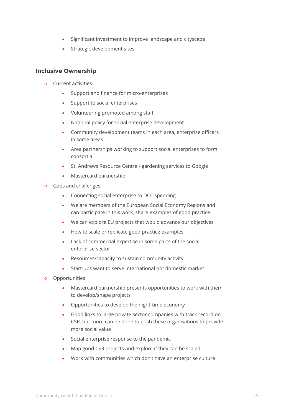- Significant investment to improve landscape and cityscape
- **•** Strategic development sites

#### **Inclusive Ownership**

- **○** Current activities
	- Support and finance for micro-enterprises
	- Support to social enterprises
	- Volunteering promoted among staff
	- National policy for social enterprise development
	- Community development teams in each area, enterprise officers in some areas
	- Area partnerships working to support social enterprises to form consortia
	- St. Andrews Resource Centre gardening services to Google
	- Mastercard partnership
- **○** Gaps and challenges
	- Connecting social enterprise to DCC spending
	- We are members of the European Social Economy Regions and can participate in this work, share examples of good practice
	- We can explore EU projects that would advance our objectives
	- How to scale or replicate good practice examples
	- Lack of commercial expertise in some parts of the social enterprise sector
	- Resources/capacity to sustain community activity
	- Start-ups want to serve international not domestic market
- **○** Opportunities
	- Mastercard partnership presents opportunities to work with them to develop/shape projects
	- Opportunities to develop the night-time economy
	- Good links to large private sector companies with track record on CSR, but more can be done to push these organisations to provide more social value
	- Social enterprise response to the pandemic
	- Map good CSR projects and explore if they can be scaled
	- Work with communities which don't have an enterprise culture